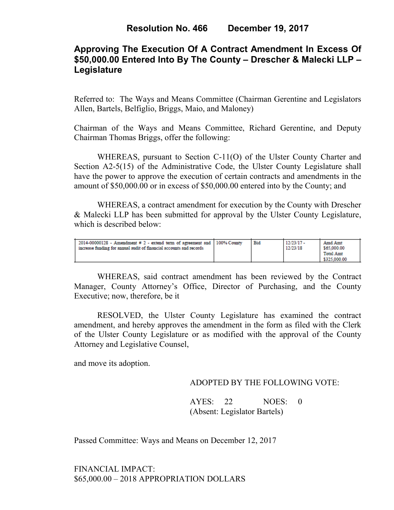# **Approving The Execution Of A Contract Amendment In Excess Of \$50,000.00 Entered Into By The County – Drescher & Malecki LLP – Legislature**

Referred to: The Ways and Means Committee (Chairman Gerentine and Legislators Allen, Bartels, Belfiglio, Briggs, Maio, and Maloney)

Chairman of the Ways and Means Committee, Richard Gerentine, and Deputy Chairman Thomas Briggs, offer the following:

WHEREAS, pursuant to Section C-11(O) of the Ulster County Charter and Section A2-5(15) of the Administrative Code, the Ulster County Legislature shall have the power to approve the execution of certain contracts and amendments in the amount of \$50,000.00 or in excess of \$50,000.00 entered into by the County; and

 WHEREAS, a contract amendment for execution by the County with Drescher & Malecki LLP has been submitted for approval by the Ulster County Legislature, which is described below:

| $2014-00000128$ - Amendment # 2 - extend term of agreement and $\mid$ 100% County<br>increase funding for annual audit of financial accounts and records |  | <b>Bid</b> | $12/23/17 -$<br>12/23/18 | Amd Amt<br>\$65,000.00<br><b>Total Amt</b><br>\$325,000.00 |
|----------------------------------------------------------------------------------------------------------------------------------------------------------|--|------------|--------------------------|------------------------------------------------------------|
|----------------------------------------------------------------------------------------------------------------------------------------------------------|--|------------|--------------------------|------------------------------------------------------------|

WHEREAS, said contract amendment has been reviewed by the Contract Manager, County Attorney's Office, Director of Purchasing, and the County Executive; now, therefore, be it

RESOLVED, the Ulster County Legislature has examined the contract amendment, and hereby approves the amendment in the form as filed with the Clerk of the Ulster County Legislature or as modified with the approval of the County Attorney and Legislative Counsel,

and move its adoption.

### ADOPTED BY THE FOLLOWING VOTE:

AYES: 22 NOES: 0 (Absent: Legislator Bartels)

Passed Committee: Ways and Means on December 12, 2017

FINANCIAL IMPACT: \$65,000.00 – 2018 APPROPRIATION DOLLARS